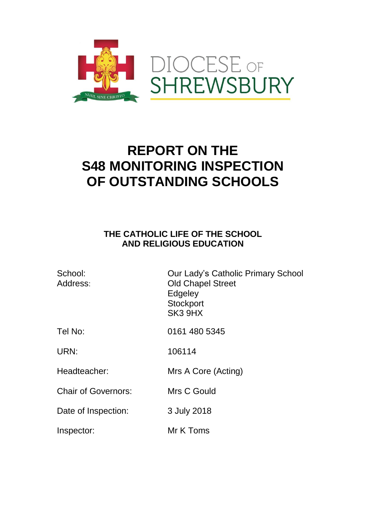

## **REPORT ON THE S48 MONITORING INSPECTION OF OUTSTANDING SCHOOLS**

## **THE CATHOLIC LIFE OF THE SCHOOL AND RELIGIOUS EDUCATION**

| School:<br>Address:        | Our Lady's Catholic Primary School<br><b>Old Chapel Street</b><br>Edgeley<br>Stockport<br>SK <sub>3</sub> 9H <sub>X</sub> |
|----------------------------|---------------------------------------------------------------------------------------------------------------------------|
| Tel No:                    | 0161 480 5345                                                                                                             |
| URN:                       | 106114                                                                                                                    |
| Headteacher:               | Mrs A Core (Acting)                                                                                                       |
| <b>Chair of Governors:</b> | Mrs C Gould                                                                                                               |
| Date of Inspection:        | 3 July 2018                                                                                                               |
| Inspector:                 | Mr K Toms                                                                                                                 |